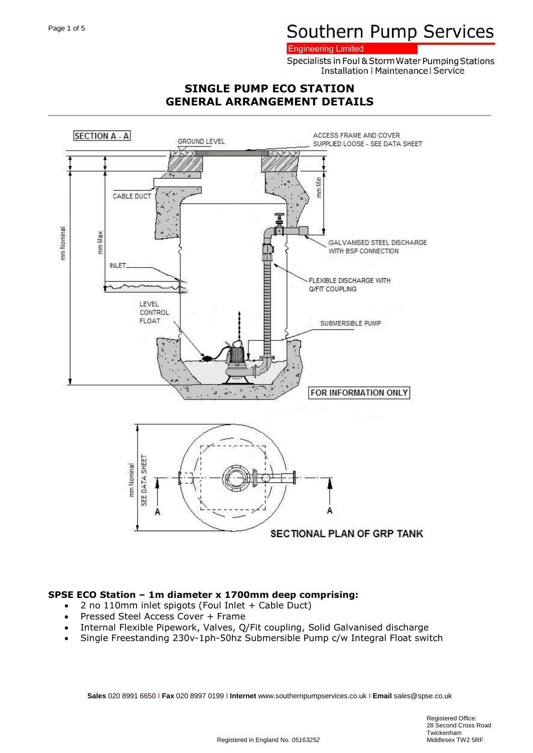#### **Engineering Limited**

Specialists in Foul & Storm Water Pumping Stations **Installation | Maintenance | Service** 

## **SINGLE PUMP ECO STATION GENERAL ARRANGEMENT DETAILS**



#### **SPSE ECO Station – 1m diameter x 1700mm deep comprising:**

- 2 no 110mm inlet spigots (Foul Inlet + Cable Duct)
- Pressed Steel Access Cover + Frame
- Internal Flexible Pipework, Valves, Q/Fit coupling, Solid Galvanised discharge
- Single Freestanding 230v-1ph-50hz Submersible Pump c/w Integral Float switch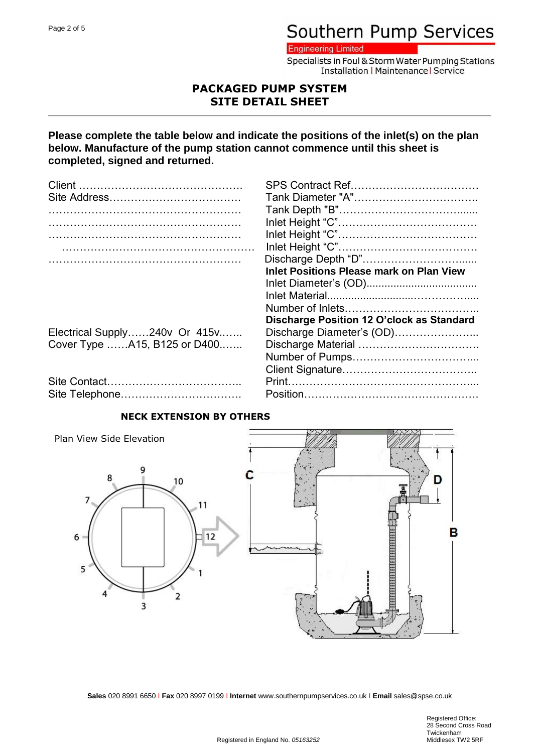**Engineering Limited** 

Specialists in Foul & Storm Water Pumping Stations **Installation | Maintenance | Service** 

## **PACKAGED PUMP SYSTEM SITE DETAIL SHEET**

## **Please complete the table below and indicate the positions of the inlet(s) on the plan below. Manufacture of the pump station cannot commence until this sheet is completed, signed and returned.**

|                               | <b>Inlet Positions Please mark on Plan View</b> |
|-------------------------------|-------------------------------------------------|
|                               |                                                 |
|                               |                                                 |
|                               |                                                 |
|                               | Discharge Position 12 O'clock as Standard       |
| Electrical Supply240v Or 415v | Discharge Diameter's (OD)                       |
| Cover Type A15, B125 or D400  |                                                 |
|                               |                                                 |
|                               |                                                 |
|                               |                                                 |
| Site Telephone                | Position                                        |

| Site Telephone |  |
|----------------|--|

## **NECK EXTENSION BY OTHERS**

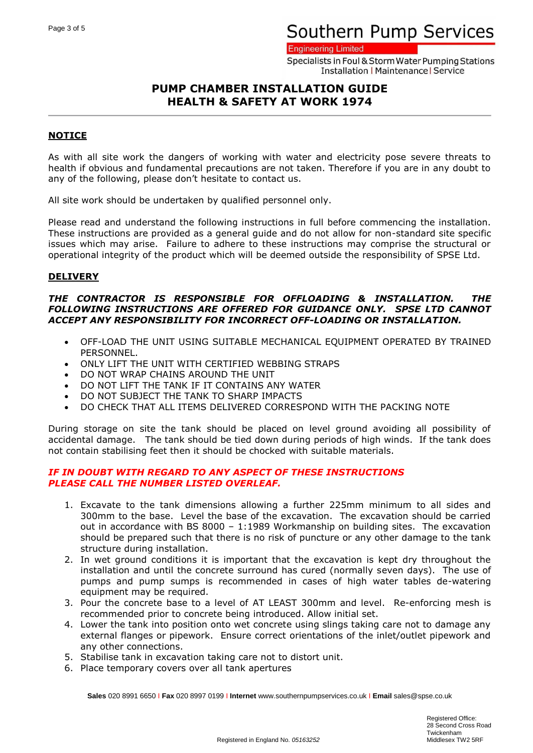#### **Engineering Limited**

Specialists in Foul & Storm Water Pumping Stations **Installation | Maintenance | Service** 

## **PUMP CHAMBER INSTALLATION GUIDE HEALTH & SAFETY AT WORK 1974**

### **NOTICE**

As with all site work the dangers of working with water and electricity pose severe threats to health if obvious and fundamental precautions are not taken. Therefore if you are in any doubt to any of the following, please don't hesitate to contact us.

All site work should be undertaken by qualified personnel only.

Please read and understand the following instructions in full before commencing the installation. These instructions are provided as a general guide and do not allow for non-standard site specific issues which may arise. Failure to adhere to these instructions may comprise the structural or operational integrity of the product which will be deemed outside the responsibility of SPSE Ltd.

#### **DELIVERY**

#### *THE CONTRACTOR IS RESPONSIBLE FOR OFFLOADING & INSTALLATION. THE FOLLOWING INSTRUCTIONS ARE OFFERED FOR GUIDANCE ONLY. SPSE LTD CANNOT ACCEPT ANY RESPONSIBILITY FOR INCORRECT OFF-LOADING OR INSTALLATION.*

- OFF-LOAD THE UNIT USING SUITABLE MECHANICAL EQUIPMENT OPERATED BY TRAINED PERSONNEL.
- ONLY LIFT THE UNIT WITH CERTIFIED WEBBING STRAPS
- DO NOT WRAP CHAINS AROUND THE UNIT
- DO NOT LIFT THE TANK IF IT CONTAINS ANY WATER
- DO NOT SUBJECT THE TANK TO SHARP IMPACTS
- DO CHECK THAT ALL ITEMS DELIVERED CORRESPOND WITH THE PACKING NOTE

During storage on site the tank should be placed on level ground avoiding all possibility of accidental damage. The tank should be tied down during periods of high winds. If the tank does not contain stabilising feet then it should be chocked with suitable materials.

#### *IF IN DOUBT WITH REGARD TO ANY ASPECT OF THESE INSTRUCTIONS PLEASE CALL THE NUMBER LISTED OVERLEAF.*

- 1. Excavate to the tank dimensions allowing a further 225mm minimum to all sides and 300mm to the base. Level the base of the excavation. The excavation should be carried out in accordance with BS 8000 – 1:1989 Workmanship on building sites. The excavation should be prepared such that there is no risk of puncture or any other damage to the tank structure during installation.
- 2. In wet ground conditions it is important that the excavation is kept dry throughout the installation and until the concrete surround has cured (normally seven days). The use of pumps and pump sumps is recommended in cases of high water tables de-watering equipment may be required.
- 3. Pour the concrete base to a level of AT LEAST 300mm and level. Re-enforcing mesh is recommended prior to concrete being introduced. Allow initial set.
- 4. Lower the tank into position onto wet concrete using slings taking care not to damage any external flanges or pipework. Ensure correct orientations of the inlet/outlet pipework and any other connections.
- 5. Stabilise tank in excavation taking care not to distort unit.
- 6. Place temporary covers over all tank apertures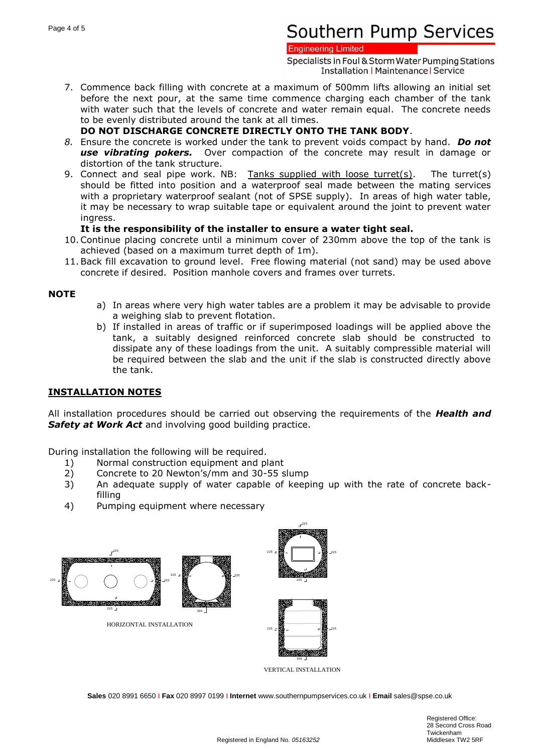#### **Engineering Limited**

Specialists in Foul & Storm Water Pumping Stations **Installation | Maintenance | Service** 

7. Commence back filling with concrete at a maximum of 500mm lifts allowing an initial set before the next pour, at the same time commence charging each chamber of the tank with water such that the levels of concrete and water remain equal. The concrete needs to be evenly distributed around the tank at all times.

### **DO NOT DISCHARGE CONCRETE DIRECTLY ONTO THE TANK BODY**.

- *8.* Ensure the concrete is worked under the tank to prevent voids compact by hand. *Do not use vibrating pokers.* Over compaction of the concrete may result in damage or distortion of the tank structure.
- 9. Connect and seal pipe work. NB: Tanks supplied with loose turret(s). The turret(s) should be fitted into position and a waterproof seal made between the mating services with a proprietary waterproof sealant (not of SPSE supply). In areas of high water table, it may be necessary to wrap suitable tape or equivalent around the joint to prevent water ingress.

### **It is the responsibility of the installer to ensure a water tight seal.**

- 10.Continue placing concrete until a minimum cover of 230mm above the top of the tank is achieved (based on a maximum turret depth of 1m).
- 11.Back fill excavation to ground level. Free flowing material (not sand) may be used above concrete if desired. Position manhole covers and frames over turrets.

### **NOTE**

- a) In areas where very high water tables are a problem it may be advisable to provide a weighing slab to prevent flotation.
- b) If installed in areas of traffic or if superimposed loadings will be applied above the tank, a suitably designed reinforced concrete slab should be constructed to dissipate any of these loadings from the unit. A suitably compressible material will be required between the slab and the unit if the slab is constructed directly above the tank.

## **INSTALLATION NOTES**

All installation procedures should be carried out observing the requirements of the *Health and*  **Safety at Work Act** and involving good building practice.

During installation the following will be required.

- 1) Normal construction equipment and plant
- 2) Concrete to 20 Newton's/mm and 30-55 slump
- 3) An adequate supply of water capable of keeping up with the rate of concrete backfilling
- 4) Pumping equipment where necessary